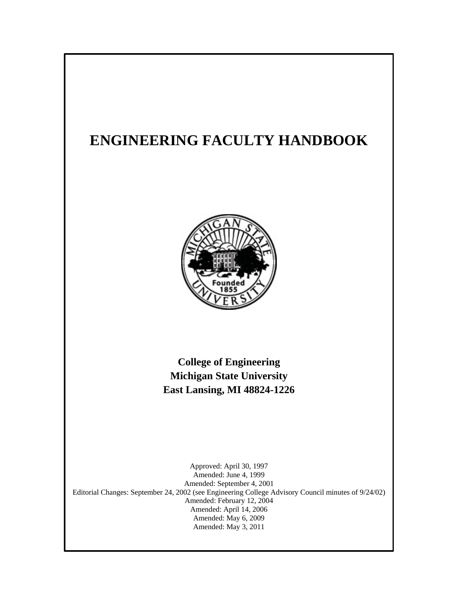# **ENGINEERING FACULTY HANDBOOK**



**College of Engineering Michigan State University East Lansing, MI 48824-1226**

Amended: May 6, 2009 Approved: April 30, 1997 Amended: June 4, 1999 Amended: September 4, 2001 Editorial Changes: September 24, 2002 (see Engineering College Advisory Council minutes of 9/24/02) Amended: February 12, 2004 Amended: April 14, 2006 Amended: May 3, 2011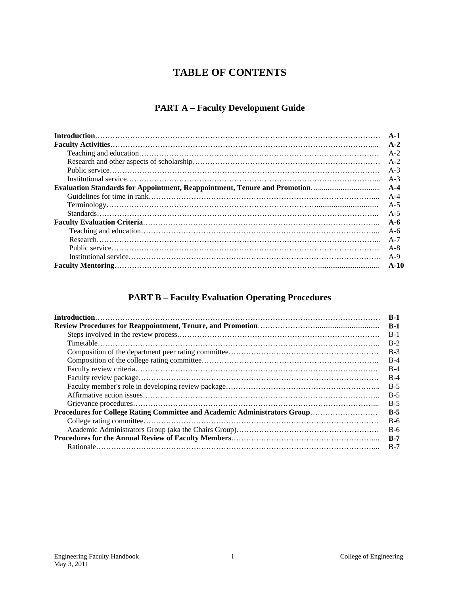# **TABLE OF CONTENTS**

# **PART A – Faculty Development Guide**

| $A-1$   |
|---------|
| $A-2$   |
| $A-2$   |
|         |
| $A-3$   |
| $A-3$   |
|         |
| $A-4$   |
| $A-5$   |
| $A-5$   |
| $A - 6$ |
| A-6     |
| $A-7$   |
| $A-8$   |
| $A-9$   |
| $A-10$  |

# **PART B – Faculty Evaluation Operating Procedures**

|                                                                           | $B-1$ |
|---------------------------------------------------------------------------|-------|
|                                                                           | $B-1$ |
|                                                                           | $B-1$ |
|                                                                           | $B-2$ |
|                                                                           | $B-3$ |
|                                                                           | $B-4$ |
|                                                                           | $B-4$ |
|                                                                           | $B-4$ |
|                                                                           | $B-5$ |
|                                                                           | $B-5$ |
|                                                                           | $B-5$ |
| Procedures for College Rating Committee and Academic Administrators Group | $B-5$ |
|                                                                           | $B-6$ |
|                                                                           | $B-6$ |
|                                                                           | $B-7$ |
|                                                                           | $B-7$ |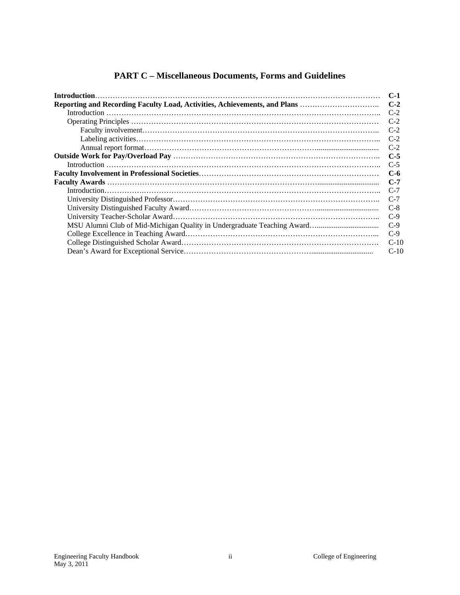# **PART C – Miscellaneous Documents, Forms and Guidelines**

|                                                                           | $C-1$  |
|---------------------------------------------------------------------------|--------|
| Reporting and Recording Faculty Load, Activities, Achievements, and Plans | $C-2$  |
|                                                                           | $C-2$  |
|                                                                           | $C-2$  |
|                                                                           | $C-2$  |
|                                                                           | $C-2$  |
|                                                                           | $C-2$  |
|                                                                           | $C-5$  |
|                                                                           | $C-5$  |
|                                                                           | $C-6$  |
|                                                                           | $C-7$  |
|                                                                           | $C-7$  |
|                                                                           | $C-7$  |
|                                                                           | $C-8$  |
|                                                                           | $C-9$  |
|                                                                           | $C-9$  |
|                                                                           | $C-9$  |
|                                                                           | $C-10$ |
|                                                                           | $C-10$ |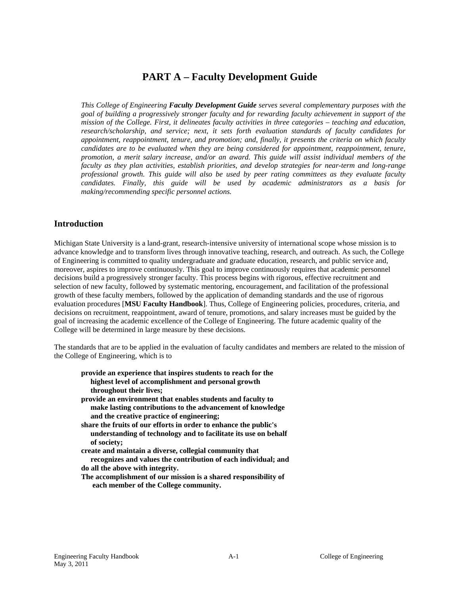# **PART A – Faculty Development Guide**

*This College of Engineering Faculty Development Guide serves several complementary purposes with the goal of building a progressively stronger faculty and for rewarding faculty achievement in support of the mission of the College. First, it delineates faculty activities in three categories – teaching and education, research/scholarship, and service; next, it sets forth evaluation standards of faculty candidates for appointment, reappointment, tenure, and promotion; and, finally, it presents the criteria on which faculty candidates are to be evaluated when they are being considered for appointment, reappointment, tenure, promotion, a merit salary increase, and/or an award. This guide will assist individual members of the faculty as they plan activities, establish priorities, and develop strategies for near-term and long-range professional growth. This guide will also be used by peer rating committees as they evaluate faculty candidates. Finally, this guide will be used by academic administrators as a basis for making/recommending specific personnel actions.*

# **Introduction**

Michigan State University is a land-grant, research-intensive university of international scope whose mission is to advance knowledge and to transform lives through innovative teaching, research, and outreach. As such, the College of Engineering is committed to quality undergraduate and graduate education, research, and public service and, moreover, aspires to improve continuously. This goal to improve continuously requires that academic personnel decisions build a progressively stronger faculty. This process begins with rigorous, effective recruitment and selection of new faculty, followed by systematic mentoring, encouragement, and facilitation of the professional growth of these faculty members, followed by the application of demanding standards and the use of rigorous evaluation procedures [**MSU Faculty Handbook**]. Thus, College of Engineering policies, procedures, criteria, and decisions on recruitment, reappointment, award of tenure, promotions, and salary increases must be guided by the goal of increasing the academic excellence of the College of Engineering. The future academic quality of the College will be determined in large measure by these decisions.

The standards that are to be applied in the evaluation of faculty candidates and members are related to the mission of the College of Engineering, which is to

**provide an experience that inspires students to reach for the highest level of accomplishment and personal growth throughout their lives; provide an environment that enables students and faculty to make lasting contributions to the advancement of knowledge and the creative practice of engineering; share the fruits of our efforts in order to enhance the public's understanding of technology and to facilitate its use on behalf of society; create and maintain a diverse, collegial community that recognizes and values the contribution of each individual; and do all the above with integrity. The accomplishment of our mission is a shared responsibility of each member of the College community.**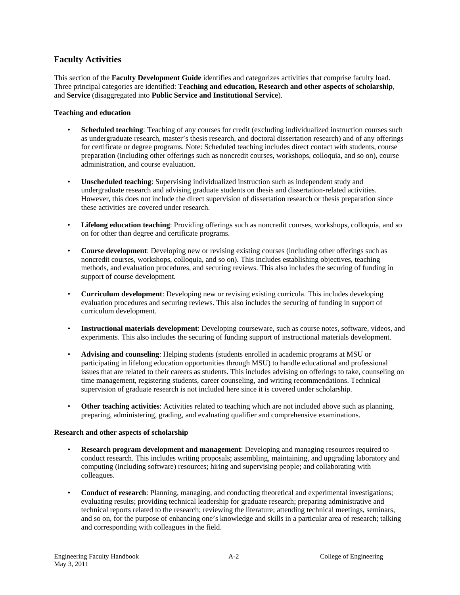# **Faculty Activities**

This section of the **Faculty Development Guide** identifies and categorizes activities that comprise faculty load. Three principal categories are identified: **Teaching and education, Research and other aspects of scholarship**, and **Service** (disaggregated into **Public Service and Institutional Service**).

#### **Teaching and education**

- **Scheduled teaching**: Teaching of any courses for credit (excluding individualized instruction courses such as undergraduate research, master's thesis research, and doctoral dissertation research) and of any offerings for certificate or degree programs. Note: Scheduled teaching includes direct contact with students, course preparation (including other offerings such as noncredit courses, workshops, colloquia, and so on), course administration, and course evaluation.
- **Unscheduled teaching**: Supervising individualized instruction such as independent study and undergraduate research and advising graduate students on thesis and dissertation-related activities. However, this does not include the direct supervision of dissertation research or thesis preparation since these activities are covered under research.
- **Lifelong education teaching**: Providing offerings such as noncredit courses, workshops, colloquia, and so on for other than degree and certificate programs.
- **Course development**: Developing new or revising existing courses (including other offerings such as noncredit courses, workshops, colloquia, and so on). This includes establishing objectives, teaching methods, and evaluation procedures, and securing reviews. This also includes the securing of funding in support of course development.
- **Curriculum development**: Developing new or revising existing curricula. This includes developing evaluation procedures and securing reviews. This also includes the securing of funding in support of curriculum development.
- **Instructional materials development**: Developing courseware, such as course notes, software, videos, and experiments. This also includes the securing of funding support of instructional materials development.
- **Advising and counseling**: Helping students (students enrolled in academic programs at MSU or participating in lifelong education opportunities through MSU) to handle educational and professional issues that are related to their careers as students. This includes advising on offerings to take, counseling on time management, registering students, career counseling, and writing recommendations. Technical supervision of graduate research is not included here since it is covered under scholarship.
- **Other teaching activities**: Activities related to teaching which are not included above such as planning, preparing, administering, grading, and evaluating qualifier and comprehensive examinations.

#### **Research and other aspects of scholarship**

- **Research program development and management**: Developing and managing resources required to conduct research. This includes writing proposals; assembling, maintaining, and upgrading laboratory and computing (including software) resources; hiring and supervising people; and collaborating with colleagues.
- **Conduct of research**: Planning, managing, and conducting theoretical and experimental investigations; evaluating results; providing technical leadership for graduate research; preparing administrative and technical reports related to the research; reviewing the literature; attending technical meetings, seminars, and so on, for the purpose of enhancing one's knowledge and skills in a particular area of research; talking and corresponding with colleagues in the field.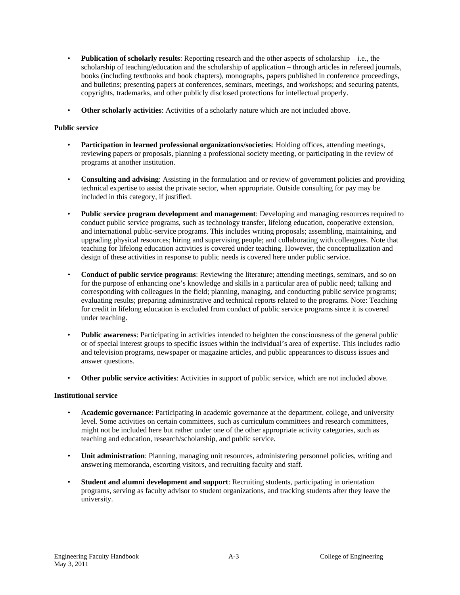- **Publication of scholarly results**: Reporting research and the other aspects of scholarship i.e., the scholarship of teaching/education and the scholarship of application – through articles in refereed journals, books (including textbooks and book chapters), monographs, papers published in conference proceedings, and bulletins; presenting papers at conferences, seminars, meetings, and workshops; and securing patents, copyrights, trademarks, and other publicly disclosed protections for intellectual properly.
- **Other scholarly activities**: Activities of a scholarly nature which are not included above.

#### **Public service**

- **Participation in learned professional organizations/societies**: Holding offices, attending meetings, reviewing papers or proposals, planning a professional society meeting, or participating in the review of programs at another institution.
- **Consulting and advising**: Assisting in the formulation and or review of government policies and providing technical expertise to assist the private sector, when appropriate. Outside consulting for pay may be included in this category, if justified.
- **Public service program development and management**: Developing and managing resources required to conduct public service programs, such as technology transfer, lifelong education, cooperative extension, and international public-service programs. This includes writing proposals; assembling, maintaining, and upgrading physical resources; hiring and supervising people; and collaborating with colleagues. Note that teaching for lifelong education activities is covered under teaching. However, the conceptualization and design of these activities in response to public needs is covered here under public service.
- **Conduct of public service programs**: Reviewing the literature; attending meetings, seminars, and so on for the purpose of enhancing one's knowledge and skills in a particular area of public need; talking and corresponding with colleagues in the field; planning, managing, and conducting public service programs; evaluating results; preparing administrative and technical reports related to the programs. Note: Teaching for credit in lifelong education is excluded from conduct of public service programs since it is covered under teaching.
- **Public awareness**: Participating in activities intended to heighten the consciousness of the general public or of special interest groups to specific issues within the individual's area of expertise. This includes radio and television programs, newspaper or magazine articles, and public appearances to discuss issues and answer questions.
- **Other public service activities**: Activities in support of public service, which are not included above.

#### **Institutional service**

- **Academic governance**: Participating in academic governance at the department, college, and university level. Some activities on certain committees, such as curriculum committees and research committees, might not be included here but rather under one of the other appropriate activity categories, such as teaching and education, research/scholarship, and public service.
- **Unit administration**: Planning, managing unit resources, administering personnel policies, writing and answering memoranda, escorting visitors, and recruiting faculty and staff.
- **Student and alumni development and support**: Recruiting students, participating in orientation programs, serving as faculty advisor to student organizations, and tracking students after they leave the university.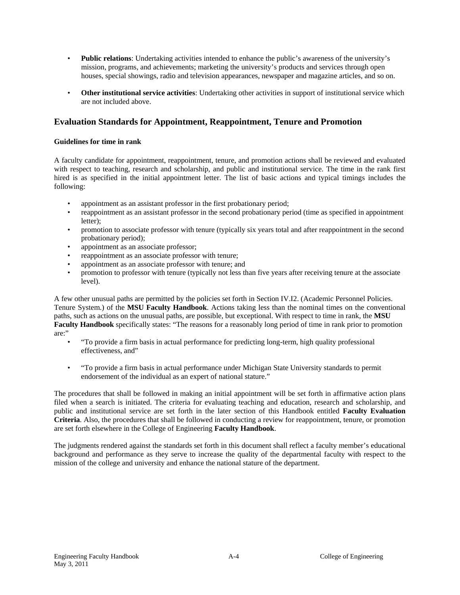- **Public relations**: Undertaking activities intended to enhance the public's awareness of the university's mission, programs, and achievements; marketing the university's products and services through open houses, special showings, radio and television appearances, newspaper and magazine articles, and so on.
- **Other institutional service activities**: Undertaking other activities in support of institutional service which are not included above.

# **Evaluation Standards for Appointment, Reappointment, Tenure and Promotion**

#### **Guidelines for time in rank**

A faculty candidate for appointment, reappointment, tenure, and promotion actions shall be reviewed and evaluated with respect to teaching, research and scholarship, and public and institutional service. The time in the rank first hired is as specified in the initial appointment letter. The list of basic actions and typical timings includes the following:

- appointment as an assistant professor in the first probationary period;
- reappointment as an assistant professor in the second probationary period (time as specified in appointment letter);
- promotion to associate professor with tenure (typically six years total and after reappointment in the second probationary period);
- appointment as an associate professor;
- reappointment as an associate professor with tenure;
- appointment as an associate professor with tenure; and
- promotion to professor with tenure (typically not less than five years after receiving tenure at the associate level).

A few other unusual paths are permitted by the policies set forth in Section IV.I2. (Academic Personnel Policies. Tenure System.) of the **MSU Faculty Handbook**. Actions taking less than the nominal times on the conventional paths, such as actions on the unusual paths, are possible, but exceptional. With respect to time in rank, the **MSU Faculty Handbook** specifically states: "The reasons for a reasonably long period of time in rank prior to promotion are:"

- "To provide a firm basis in actual performance for predicting long-term, high quality professional effectiveness, and"
- "To provide a firm basis in actual performance under Michigan State University standards to permit endorsement of the individual as an expert of national stature."

The procedures that shall be followed in making an initial appointment will be set forth in affirmative action plans filed when a search is initiated. The criteria for evaluating teaching and education, research and scholarship, and public and institutional service are set forth in the later section of this Handbook entitled **Faculty Evaluation Criteria**. Also, the procedures that shall be followed in conducting a review for reappointment, tenure, or promotion are set forth elsewhere in the College of Engineering **Faculty Handbook**.

The judgments rendered against the standards set forth in this document shall reflect a faculty member's educational background and performance as they serve to increase the quality of the departmental faculty with respect to the mission of the college and university and enhance the national stature of the department.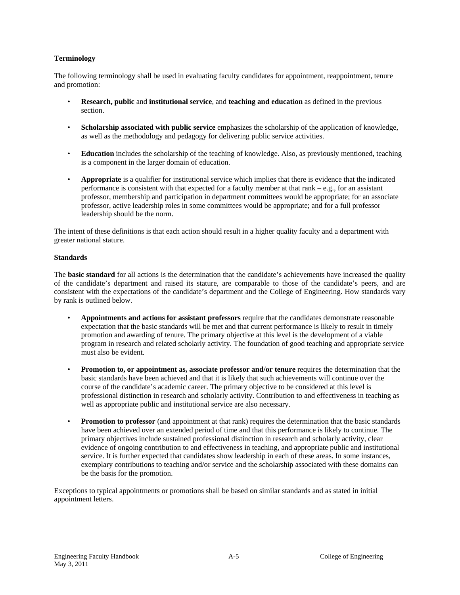#### **Terminology**

The following terminology shall be used in evaluating faculty candidates for appointment, reappointment, tenure and promotion:

- **Research, public** and **institutional service**, and **teaching and education** as defined in the previous section.
- **Scholarship associated with public service** emphasizes the scholarship of the application of knowledge, as well as the methodology and pedagogy for delivering public service activities.
- **Education** includes the scholarship of the teaching of knowledge. Also, as previously mentioned, teaching is a component in the larger domain of education.
- **Appropriate** is a qualifier for institutional service which implies that there is evidence that the indicated performance is consistent with that expected for a faculty member at that rank – e.g., for an assistant professor, membership and participation in department committees would be appropriate; for an associate professor, active leadership roles in some committees would be appropriate; and for a full professor leadership should be the norm.

The intent of these definitions is that each action should result in a higher quality faculty and a department with greater national stature.

#### **Standards**

The **basic standard** for all actions is the determination that the candidate's achievements have increased the quality of the candidate's department and raised its stature, are comparable to those of the candidate's peers, and are consistent with the expectations of the candidate's department and the College of Engineering. How standards vary by rank is outlined below.

- **Appointments and actions for assistant professors** require that the candidates demonstrate reasonable expectation that the basic standards will be met and that current performance is likely to result in timely promotion and awarding of tenure. The primary objective at this level is the development of a viable program in research and related scholarly activity. The foundation of good teaching and appropriate service must also be evident.
- **Promotion to, or appointment as, associate professor and/or tenure** requires the determination that the basic standards have been achieved and that it is likely that such achievements will continue over the course of the candidate's academic career. The primary objective to be considered at this level is professional distinction in research and scholarly activity. Contribution to and effectiveness in teaching as well as appropriate public and institutional service are also necessary.
- **Promotion to professor** (and appointment at that rank) requires the determination that the basic standards have been achieved over an extended period of time and that this performance is likely to continue. The primary objectives include sustained professional distinction in research and scholarly activity, clear evidence of ongoing contribution to and effectiveness in teaching, and appropriate public and institutional service. It is further expected that candidates show leadership in each of these areas. In some instances, exemplary contributions to teaching and/or service and the scholarship associated with these domains can be the basis for the promotion.

Exceptions to typical appointments or promotions shall be based on similar standards and as stated in initial appointment letters.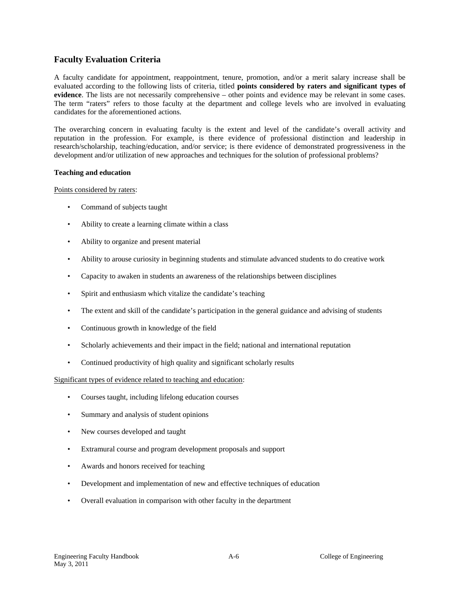# **Faculty Evaluation Criteria**

A faculty candidate for appointment, reappointment, tenure, promotion, and/or a merit salary increase shall be evaluated according to the following lists of criteria, titled **points considered by raters and significant types of evidence**. The lists are not necessarily comprehensive – other points and evidence may be relevant in some cases. The term "raters" refers to those faculty at the department and college levels who are involved in evaluating candidates for the aforementioned actions.

The overarching concern in evaluating faculty is the extent and level of the candidate's overall activity and reputation in the profession. For example, is there evidence of professional distinction and leadership in research/scholarship, teaching/education, and/or service; is there evidence of demonstrated progressiveness in the development and/or utilization of new approaches and techniques for the solution of professional problems?

#### **Teaching and education**

Points considered by raters:

- Command of subjects taught
- Ability to create a learning climate within a class
- Ability to organize and present material
- Ability to arouse curiosity in beginning students and stimulate advanced students to do creative work
- Capacity to awaken in students an awareness of the relationships between disciplines
- Spirit and enthusiasm which vitalize the candidate's teaching
- The extent and skill of the candidate's participation in the general guidance and advising of students
- Continuous growth in knowledge of the field
- Scholarly achievements and their impact in the field; national and international reputation
- Continued productivity of high quality and significant scholarly results

Significant types of evidence related to teaching and education:

- Courses taught, including lifelong education courses
- Summary and analysis of student opinions
- New courses developed and taught
- Extramural course and program development proposals and support
- Awards and honors received for teaching
- Development and implementation of new and effective techniques of education
- Overall evaluation in comparison with other faculty in the department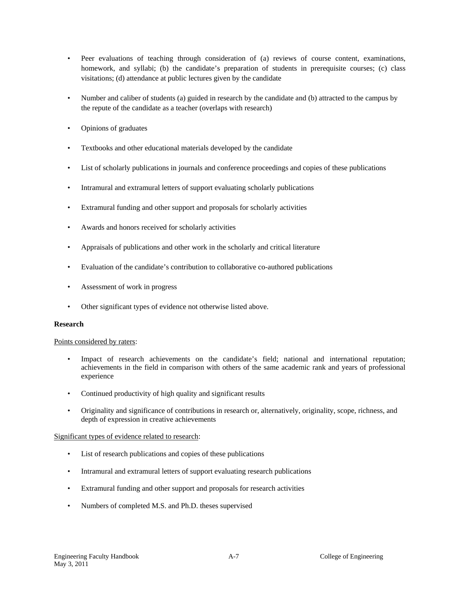- Peer evaluations of teaching through consideration of (a) reviews of course content, examinations, homework, and syllabi; (b) the candidate's preparation of students in prerequisite courses; (c) class visitations; (d) attendance at public lectures given by the candidate
- Number and caliber of students (a) guided in research by the candidate and (b) attracted to the campus by the repute of the candidate as a teacher (overlaps with research)
- Opinions of graduates
- Textbooks and other educational materials developed by the candidate
- List of scholarly publications in journals and conference proceedings and copies of these publications
- Intramural and extramural letters of support evaluating scholarly publications
- Extramural funding and other support and proposals for scholarly activities
- Awards and honors received for scholarly activities
- Appraisals of publications and other work in the scholarly and critical literature
- Evaluation of the candidate's contribution to collaborative co-authored publications
- Assessment of work in progress
- Other significant types of evidence not otherwise listed above.

#### **Research**

#### Points considered by raters:

- Impact of research achievements on the candidate's field; national and international reputation; achievements in the field in comparison with others of the same academic rank and years of professional experience
- Continued productivity of high quality and significant results
- Originality and significance of contributions in research or, alternatively, originality, scope, richness, and depth of expression in creative achievements

#### Significant types of evidence related to research:

- List of research publications and copies of these publications
- Intramural and extramural letters of support evaluating research publications
- Extramural funding and other support and proposals for research activities
- Numbers of completed M.S. and Ph.D. theses supervised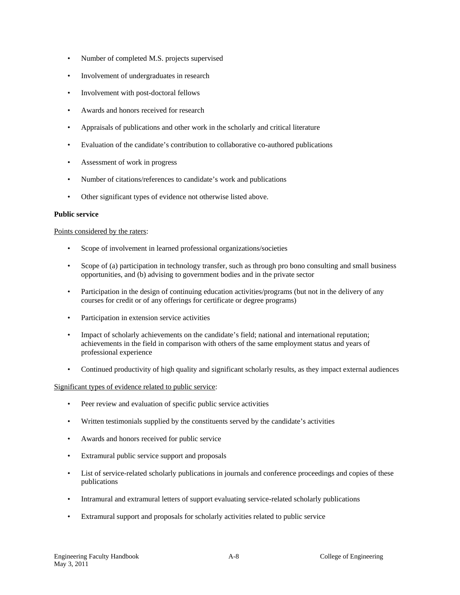- Number of completed M.S. projects supervised
- Involvement of undergraduates in research
- Involvement with post-doctoral fellows
- Awards and honors received for research
- Appraisals of publications and other work in the scholarly and critical literature
- Evaluation of the candidate's contribution to collaborative co-authored publications
- Assessment of work in progress
- Number of citations/references to candidate's work and publications
- Other significant types of evidence not otherwise listed above.

#### **Public service**

#### Points considered by the raters:

- Scope of involvement in learned professional organizations/societies
- Scope of (a) participation in technology transfer, such as through pro bono consulting and small business opportunities, and (b) advising to government bodies and in the private sector
- Participation in the design of continuing education activities/programs (but not in the delivery of any courses for credit or of any offerings for certificate or degree programs)
- Participation in extension service activities
- Impact of scholarly achievements on the candidate's field; national and international reputation; achievements in the field in comparison with others of the same employment status and years of professional experience
- Continued productivity of high quality and significant scholarly results, as they impact external audiences

#### Significant types of evidence related to public service:

- Peer review and evaluation of specific public service activities
- Written testimonials supplied by the constituents served by the candidate's activities
- Awards and honors received for public service
- Extramural public service support and proposals
- List of service-related scholarly publications in journals and conference proceedings and copies of these publications
- Intramural and extramural letters of support evaluating service-related scholarly publications
- Extramural support and proposals for scholarly activities related to public service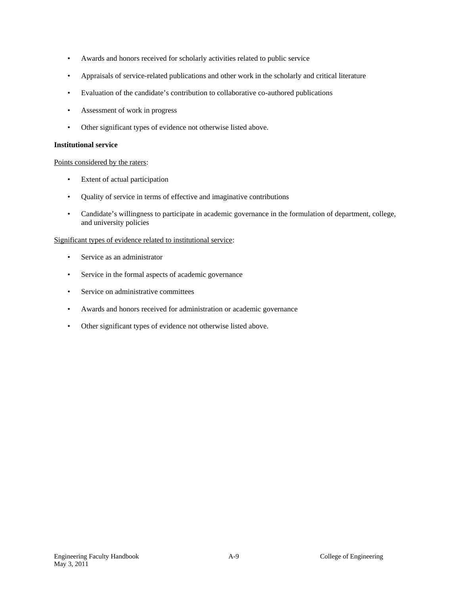- Awards and honors received for scholarly activities related to public service
- Appraisals of service-related publications and other work in the scholarly and critical literature
- Evaluation of the candidate's contribution to collaborative co-authored publications
- Assessment of work in progress
- Other significant types of evidence not otherwise listed above.

#### **Institutional service**

#### Points considered by the raters:

- Extent of actual participation
- Quality of service in terms of effective and imaginative contributions
- Candidate's willingness to participate in academic governance in the formulation of department, college, and university policies

#### Significant types of evidence related to institutional service:

- Service as an administrator
- Service in the formal aspects of academic governance
- Service on administrative committees
- Awards and honors received for administration or academic governance
- Other significant types of evidence not otherwise listed above.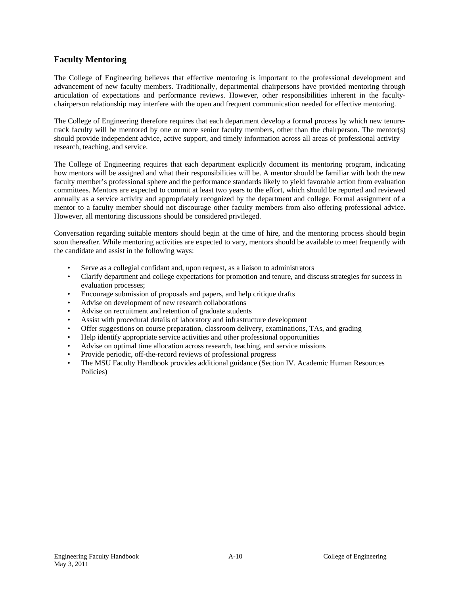# **Faculty Mentoring**

The College of Engineering believes that effective mentoring is important to the professional development and advancement of new faculty members. Traditionally, departmental chairpersons have provided mentoring through articulation of expectations and performance reviews. However, other responsibilities inherent in the facultychairperson relationship may interfere with the open and frequent communication needed for effective mentoring.

The College of Engineering therefore requires that each department develop a formal process by which new tenuretrack faculty will be mentored by one or more senior faculty members, other than the chairperson. The mentor(s) should provide independent advice, active support, and timely information across all areas of professional activity – research, teaching, and service.

The College of Engineering requires that each department explicitly document its mentoring program, indicating how mentors will be assigned and what their responsibilities will be. A mentor should be familiar with both the new faculty member's professional sphere and the performance standards likely to yield favorable action from evaluation committees. Mentors are expected to commit at least two years to the effort, which should be reported and reviewed annually as a service activity and appropriately recognized by the department and college. Formal assignment of a mentor to a faculty member should not discourage other faculty members from also offering professional advice. However, all mentoring discussions should be considered privileged.

Conversation regarding suitable mentors should begin at the time of hire, and the mentoring process should begin soon thereafter. While mentoring activities are expected to vary, mentors should be available to meet frequently with the candidate and assist in the following ways:

- Serve as a collegial confidant and, upon request, as a liaison to administrators
- Clarify department and college expectations for promotion and tenure, and discuss strategies for success in evaluation processes;
- Encourage submission of proposals and papers, and help critique drafts
- Advise on development of new research collaborations
- Advise on recruitment and retention of graduate students
- Assist with procedural details of laboratory and infrastructure development
- Offer suggestions on course preparation, classroom delivery, examinations, TAs, and grading
- Help identify appropriate service activities and other professional opportunities
- Advise on optimal time allocation across research, teaching, and service missions
- Provide periodic, off-the-record reviews of professional progress
- The MSU Faculty Handbook provides additional guidance (Section IV. Academic Human Resources Policies)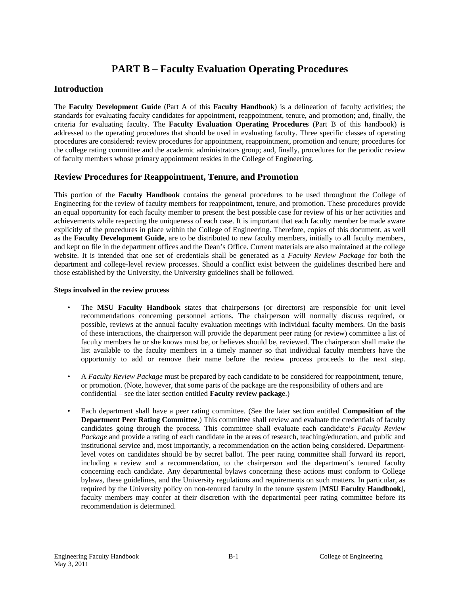# **PART B – Faculty Evaluation Operating Procedures**

# **Introduction**

The **Faculty Development Guide** (Part A of this **Faculty Handbook**) is a delineation of faculty activities; the standards for evaluating faculty candidates for appointment, reappointment, tenure, and promotion; and, finally, the criteria for evaluating faculty. The **Faculty Evaluation Operating Procedures** (Part B of this handbook) is addressed to the operating procedures that should be used in evaluating faculty. Three specific classes of operating procedures are considered: review procedures for appointment, reappointment, promotion and tenure; procedures for the college rating committee and the academic administrators group; and, finally, procedures for the periodic review of faculty members whose primary appointment resides in the College of Engineering.

#### **Review Procedures for Reappointment, Tenure, and Promotion**

This portion of the **Faculty Handbook** contains the general procedures to be used throughout the College of Engineering for the review of faculty members for reappointment, tenure, and promotion. These procedures provide an equal opportunity for each faculty member to present the best possible case for review of his or her activities and achievements while respecting the uniqueness of each case. It is important that each faculty member be made aware explicitly of the procedures in place within the College of Engineering. Therefore, copies of this document, as well as the **Faculty Development Guide**, are to be distributed to new faculty members, initially to all faculty members, and kept on file in the department offices and the Dean's Office. Current materials are also maintained at the college website. It is intended that one set of credentials shall be generated as a *Faculty Review Package* for both the department and college-level review processes. Should a conflict exist between the guidelines described here and those established by the University, the University guidelines shall be followed.

#### **Steps involved in the review process**

- The **MSU Faculty Handbook** states that chairpersons (or directors) are responsible for unit level recommendations concerning personnel actions. The chairperson will normally discuss required, or possible, reviews at the annual faculty evaluation meetings with individual faculty members. On the basis of these interactions, the chairperson will provide the department peer rating (or review) committee a list of faculty members he or she knows must be, or believes should be, reviewed. The chairperson shall make the list available to the faculty members in a timely manner so that individual faculty members have the opportunity to add or remove their name before the review process proceeds to the next step.
- A *Faculty Review Package* must be prepared by each candidate to be considered for reappointment, tenure, or promotion. (Note, however, that some parts of the package are the responsibility of others and are confidential – see the later section entitled **Faculty review package**.)
- Each department shall have a peer rating committee. (See the later section entitled **Composition of the Department Peer Rating Committee**.) This committee shall review and evaluate the credentials of faculty candidates going through the process. This committee shall evaluate each candidate's *Faculty Review Package* and provide a rating of each candidate in the areas of research, teaching/education, and public and institutional service and, most importantly, a recommendation on the action being considered. Departmentlevel votes on candidates should be by secret ballot. The peer rating committee shall forward its report, including a review and a recommendation, to the chairperson and the department's tenured faculty concerning each candidate. Any departmental bylaws concerning these actions must conform to College bylaws, these guidelines, and the University regulations and requirements on such matters. In particular, as required by the University policy on non-tenured faculty in the tenure system [**MSU Faculty Handbook**], faculty members may confer at their discretion with the departmental peer rating committee before its recommendation is determined.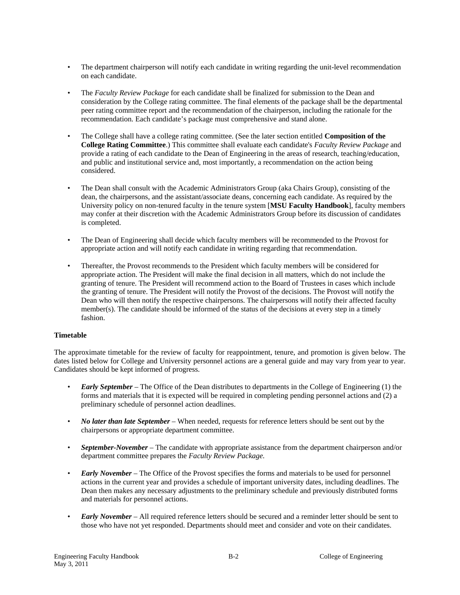- The department chairperson will notify each candidate in writing regarding the unit-level recommendation on each candidate.
- The *Faculty Review Package* for each candidate shall be finalized for submission to the Dean and consideration by the College rating committee. The final elements of the package shall be the departmental peer rating committee report and the recommendation of the chairperson, including the rationale for the recommendation. Each candidate's package must comprehensive and stand alone.
- The College shall have a college rating committee. (See the later section entitled **Composition of the College Rating Committee**.) This committee shall evaluate each candidate's *Faculty Review Package* and provide a rating of each candidate to the Dean of Engineering in the areas of research, teaching/education, and public and institutional service and, most importantly, a recommendation on the action being considered.
- The Dean shall consult with the Academic Administrators Group (aka Chairs Group), consisting of the dean, the chairpersons, and the assistant/associate deans, concerning each candidate. As required by the University policy on non-tenured faculty in the tenure system [**MSU Faculty Handbook**], faculty members may confer at their discretion with the Academic Administrators Group before its discussion of candidates is completed.
- The Dean of Engineering shall decide which faculty members will be recommended to the Provost for appropriate action and will notify each candidate in writing regarding that recommendation.
- Thereafter, the Provost recommends to the President which faculty members will be considered for appropriate action. The President will make the final decision in all matters, which do not include the granting of tenure. The President will recommend action to the Board of Trustees in cases which include the granting of tenure. The President will notify the Provost of the decisions. The Provost will notify the Dean who will then notify the respective chairpersons. The chairpersons will notify their affected faculty member(s). The candidate should be informed of the status of the decisions at every step in a timely fashion.

#### **Timetable**

The approximate timetable for the review of faculty for reappointment, tenure, and promotion is given below. The dates listed below for College and University personnel actions are a general guide and may vary from year to year. Candidates should be kept informed of progress.

- *Early September –* The Office of the Dean distributes to departments in the College of Engineering (1) the forms and materials that it is expected will be required in completing pending personnel actions and (2) a preliminary schedule of personnel action deadlines.
- *No later than late September* When needed, requests for reference letters should be sent out by the chairpersons or appropriate department committee.
- *September-November* The candidate with appropriate assistance from the department chairperson and/or department committee prepares the *Faculty Review Package.*
- *Early November* The Office of the Provost specifies the forms and materials to be used for personnel actions in the current year and provides a schedule of important university dates, including deadlines. The Dean then makes any necessary adjustments to the preliminary schedule and previously distributed forms and materials for personnel actions.
- *Early November* All required reference letters should be secured and a reminder letter should be sent to those who have not yet responded. Departments should meet and consider and vote on their candidates.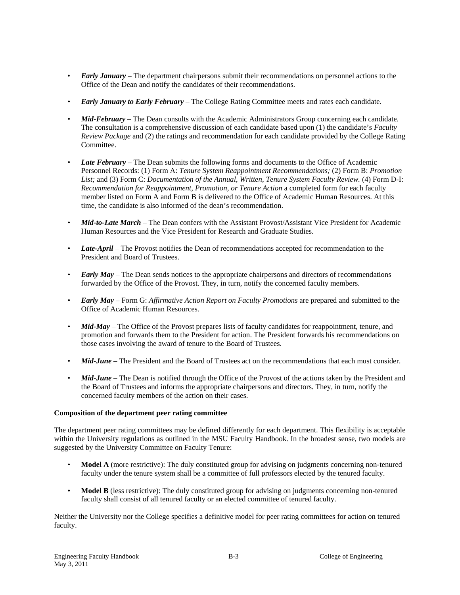- *Early January* The department chairpersons submit their recommendations on personnel actions to the Office of the Dean and notify the candidates of their recommendations.
- *Early January to Early February* The College Rating Committee meets and rates each candidate.
- *Mid-February* The Dean consults with the Academic Administrators Group concerning each candidate. The consultation is a comprehensive discussion of each candidate based upon (1) the candidate's *Faculty Review Package* and (2) the ratings and recommendation for each candidate provided by the College Rating Committee.
- *Late February* The Dean submits the following forms and documents to the Office of Academic Personnel Records: (1) Form A: *Tenure System Reappointment Recommendations;* (2) Form B: *Promotion List;* and (3) Form C: *Documentation of the Annual, Written, Tenure System Faculty Review.* (4) Form D-I: *Recommendation for Reappointment, Promotion, or Tenure Action* a completed form for each faculty member listed on Form A and Form B is delivered to the Office of Academic Human Resources. At this time, the candidate is also informed of the dean's recommendation.
- *Mid-to-Late March* The Dean confers with the Assistant Provost/Assistant Vice President for Academic Human Resources and the Vice President for Research and Graduate Studies.
- *Late-April* The Provost notifies the Dean of recommendations accepted for recommendation to the President and Board of Trustees.
- *Early May* The Dean sends notices to the appropriate chairpersons and directors of recommendations forwarded by the Office of the Provost. They, in turn, notify the concerned faculty members.
- *Early May* Form G: *Affirmative Action Report on Faculty Promotions* are prepared and submitted to the Office of Academic Human Resources.
- *Mid-May* The Office of the Provost prepares lists of faculty candidates for reappointment, tenure, and promotion and forwards them to the President for action. The President forwards his recommendations on those cases involving the award of tenure to the Board of Trustees.
- *Mid-June* The President and the Board of Trustees act on the recommendations that each must consider.
- *Mid-June* The Dean is notified through the Office of the Provost of the actions taken by the President and the Board of Trustees and informs the appropriate chairpersons and directors. They, in turn, notify the concerned faculty members of the action on their cases.

#### **Composition of the department peer rating committee**

The department peer rating committees may be defined differently for each department. This flexibility is acceptable within the University regulations as outlined in the MSU Faculty Handbook. In the broadest sense, two models are suggested by the University Committee on Faculty Tenure:

- **Model A** (more restrictive): The duly constituted group for advising on judgments concerning non-tenured faculty under the tenure system shall be a committee of full professors elected by the tenured faculty.
- **Model B** (less restrictive): The duly constituted group for advising on judgments concerning non-tenured faculty shall consist of all tenured faculty or an elected committee of tenured faculty.

Neither the University nor the College specifies a definitive model for peer rating committees for action on tenured faculty.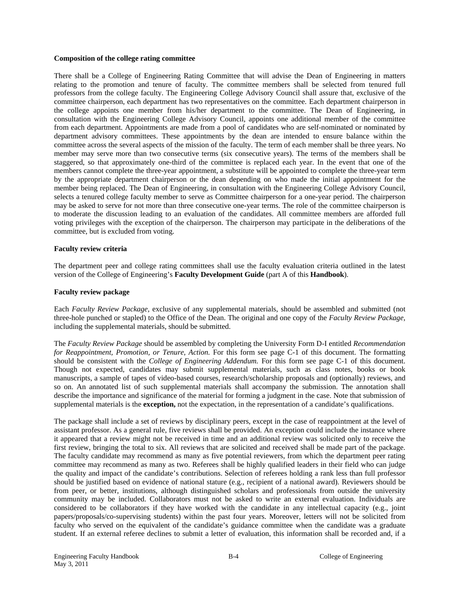#### **Composition of the college rating committee**

There shall be a College of Engineering Rating Committee that will advise the Dean of Engineering in matters relating to the promotion and tenure of faculty. The committee members shall be selected from tenured full professors from the college faculty. The Engineering College Advisory Council shall assure that, exclusive of the committee chairperson, each department has two representatives on the committee. Each department chairperson in the college appoints one member from his/her department to the committee. The Dean of Engineering, in consultation with the Engineering College Advisory Council, appoints one additional member of the committee from each department. Appointments are made from a pool of candidates who are self-nominated or nominated by department advisory committees. These appointments by the dean are intended to ensure balance within the committee across the several aspects of the mission of the faculty. The term of each member shall be three years. No member may serve more than two consecutive terms (six consecutive years). The terms of the members shall be staggered, so that approximately one-third of the committee is replaced each year. In the event that one of the members cannot complete the three-year appointment, a substitute will be appointed to complete the three-year term by the appropriate department chairperson or the dean depending on who made the initial appointment for the member being replaced. The Dean of Engineering, in consultation with the Engineering College Advisory Council, selects a tenured college faculty member to serve as Committee chairperson for a one-year period. The chairperson may be asked to serve for not more than three consecutive one-year terms. The role of the committee chairperson is to moderate the discussion leading to an evaluation of the candidates. All committee members are afforded full voting privileges with the exception of the chairperson. The chairperson may participate in the deliberations of the committee, but is excluded from voting.

#### **Faculty review criteria**

The department peer and college rating committees shall use the faculty evaluation criteria outlined in the latest version of the College of Engineering's **Faculty Development Guide** (part A of this **Handbook**).

#### **Faculty review package**

Each *Faculty Review Package,* exclusive of any supplemental materials, should be assembled and submitted (not three-hole punched or stapled) to the Office of the Dean. The original and one copy of the *Faculty Review Package,* including the supplemental materials, should be submitted.

The *Faculty Review Package* should be assembled by completing the University Form D-I entitled *Recommendation for Reappointment, Promotion, or Tenure, Action.* For this form see page C-1 of this document. The formatting should be consistent with the *College of Engineering Addendum.* For this form see page C-1 of this document. Though not expected, candidates may submit supplemental materials, such as class notes, books or book manuscripts, a sample of tapes of video-based courses, research/scholarship proposals and (optionally) reviews, and so on. An annotated list of such supplemental materials shall accompany the submission. The annotation shall describe the importance and significance of the material for forming a judgment in the case. Note that submission of supplemental materials is the **exception,** not the expectation, in the representation of a candidate's qualifications.

The package shall include a set of reviews by disciplinary peers, except in the case of reappointment at the level of assistant professor. As a general rule, five reviews shall be provided. An exception could include the instance where it appeared that a review might not be received in time and an additional review was solicited only to receive the first review, bringing the total to six. All reviews that are solicited and received shall be made part of the package. The faculty candidate may recommend as many as five potential reviewers, from which the department peer rating committee may recommend as many as two. Referees shall be highly qualified leaders in their field who can judge the quality and impact of the candidate's contributions. Selection of referees holding a rank less than full professor should be justified based on evidence of national stature (e.g., recipient of a national award). Reviewers should be from peer, or better, institutions, although distinguished scholars and professionals from outside the university community may be included. Collaborators must not be asked to write an external evaluation. Individuals are considered to be collaborators if they have worked with the candidate in any intellectual capacity (e.g., joint papers/proposals/co-supervising students) within the past four years. Moreover, letters will not be solicited from faculty who served on the equivalent of the candidate's guidance committee when the candidate was a graduate student. If an external referee declines to submit a letter of evaluation, this information shall be recorded and, if a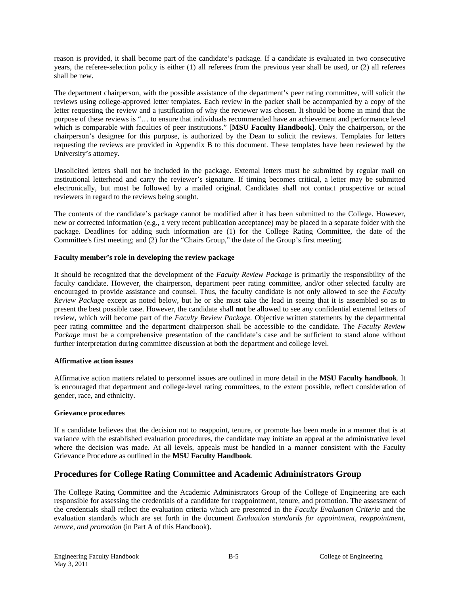reason is provided, it shall become part of the candidate's package. If a candidate is evaluated in two consecutive years, the referee-selection policy is either (1) all referees from the previous year shall be used, or (2) all referees shall be new.

The department chairperson, with the possible assistance of the department's peer rating committee, will solicit the reviews using college-approved letter templates. Each review in the packet shall be accompanied by a copy of the letter requesting the review and a justification of why the reviewer was chosen. It should be borne in mind that the purpose of these reviews is "… to ensure that individuals recommended have an achievement and performance level which is comparable with faculties of peer institutions." [**MSU Faculty Handbook**]. Only the chairperson, or the chairperson's designee for this purpose, is authorized by the Dean to solicit the reviews. Templates for letters requesting the reviews are provided in Appendix B to this document. These templates have been reviewed by the University's attorney.

Unsolicited letters shall not be included in the package. External letters must be submitted by regular mail on institutional letterhead and carry the reviewer's signature. If timing becomes critical, a letter may be submitted electronically, but must be followed by a mailed original. Candidates shall not contact prospective or actual reviewers in regard to the reviews being sought.

The contents of the candidate's package cannot be modified after it has been submitted to the College. However, new or corrected information (e.g., a very recent publication acceptance) may be placed in a separate folder with the package. Deadlines for adding such information are (1) for the College Rating Committee, the date of the Committee's first meeting; and (2) for the "Chairs Group," the date of the Group's first meeting.

#### **Faculty member's role in developing the review package**

It should be recognized that the development of the *Faculty Review Package* is primarily the responsibility of the faculty candidate. However, the chairperson, department peer rating committee, and/or other selected faculty are encouraged to provide assistance and counsel. Thus, the faculty candidate is not only allowed to see the *Faculty Review Package* except as noted below, but he or she must take the lead in seeing that it is assembled so as to present the best possible case. However, the candidate shall **not** be allowed to see any confidential external letters of review, which will become part of the *Faculty Review Package.* Objective written statements by the departmental peer rating committee and the department chairperson shall be accessible to the candidate. The *Faculty Review Package* must be a comprehensive presentation of the candidate's case and be sufficient to stand alone without further interpretation during committee discussion at both the department and college level.

#### **Affirmative action issues**

Affirmative action matters related to personnel issues are outlined in more detail in the **MSU Faculty handbook**. It is encouraged that department and college-level rating committees, to the extent possible, reflect consideration of gender, race, and ethnicity.

#### **Grievance procedures**

If a candidate believes that the decision not to reappoint, tenure, or promote has been made in a manner that is at variance with the established evaluation procedures, the candidate may initiate an appeal at the administrative level where the decision was made. At all levels, appeals must be handled in a manner consistent with the Faculty Grievance Procedure as outlined in the **MSU Faculty Handbook**.

# **Procedures for College Rating Committee and Academic Administrators Group**

The College Rating Committee and the Academic Administrators Group of the College of Engineering are each responsible for assessing the credentials of a candidate for reappointment, tenure, and promotion. The assessment of the credentials shall reflect the evaluation criteria which are presented in the *Faculty Evaluation Criteria* and the evaluation standards which are set forth in the document *Evaluation standards for appointment, reappointment, tenure, and promotion* (in Part A of this Handbook).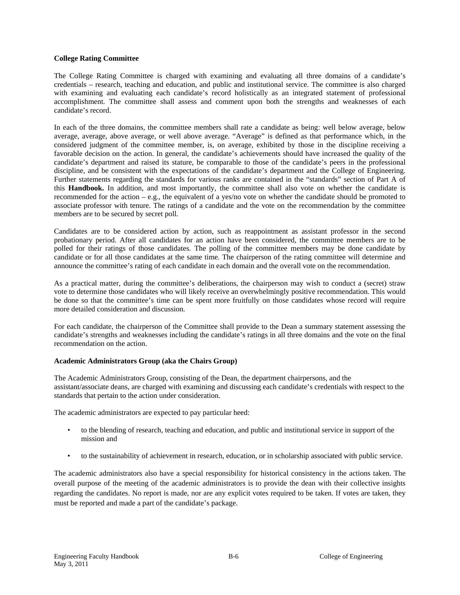#### **College Rating Committee**

The College Rating Committee is charged with examining and evaluating all three domains of a candidate's credentials – research, teaching and education, and public and institutional service. The committee is also charged with examining and evaluating each candidate's record holistically as an integrated statement of professional accomplishment. The committee shall assess and comment upon both the strengths and weaknesses of each candidate's record.

In each of the three domains, the committee members shall rate a candidate as being: well below average, below average, average, above average, or well above average. "Average" is defined as that performance which, in the considered judgment of the committee member, is, on average, exhibited by those in the discipline receiving a favorable decision on the action. In general, the candidate's achievements should have increased the quality of the candidate's department and raised its stature, be comparable to those of the candidate's peers in the professional discipline, and be consistent with the expectations of the candidate's department and the College of Engineering. Further statements regarding the standards for various ranks are contained in the "standards" section of Part A of this **Handbook.** In addition, and most importantly, the committee shall also vote on whether the candidate is recommended for the action – e.g., the equivalent of a yes/no vote on whether the candidate should be promoted to associate professor with tenure. The ratings of a candidate and the vote on the recommendation by the committee members are to be secured by secret poll.

Candidates are to be considered action by action, such as reappointment as assistant professor in the second probationary period. After all candidates for an action have been considered, the committee members are to be polled for their ratings of those candidates. The polling of the committee members may be done candidate by candidate or for all those candidates at the same time. The chairperson of the rating committee will determine and announce the committee's rating of each candidate in each domain and the overall vote on the recommendation.

As a practical matter, during the committee's deliberations, the chairperson may wish to conduct a (secret) straw vote to determine those candidates who will likely receive an overwhelmingly positive recommendation. This would be done so that the committee's time can be spent more fruitfully on those candidates whose record will require more detailed consideration and discussion.

For each candidate, the chairperson of the Committee shall provide to the Dean a summary statement assessing the candidate's strengths and weaknesses including the candidate's ratings in all three domains and the vote on the final recommendation on the action.

#### **Academic Administrators Group (aka the Chairs Group)**

The Academic Administrators Group, consisting of the Dean, the department chairpersons, and the assistant/associate deans, are charged with examining and discussing each candidate's credentials with respect to the standards that pertain to the action under consideration.

The academic administrators are expected to pay particular heed:

- to the blending of research, teaching and education, and public and institutional service in support of the mission and
- to the sustainability of achievement in research, education, or in scholarship associated with public service.

The academic administrators also have a special responsibility for historical consistency in the actions taken. The overall purpose of the meeting of the academic administrators is to provide the dean with their collective insights regarding the candidates. No report is made, nor are any explicit votes required to be taken. If votes are taken, they must be reported and made a part of the candidate's package.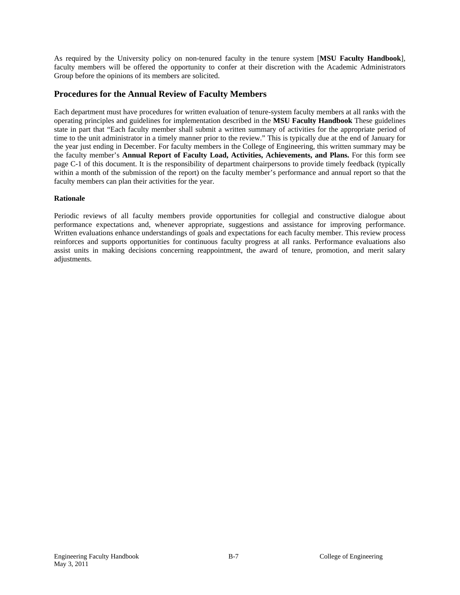As required by the University policy on non-tenured faculty in the tenure system [**MSU Faculty Handbook**], faculty members will be offered the opportunity to confer at their discretion with the Academic Administrators Group before the opinions of its members are solicited.

### **Procedures for the Annual Review of Faculty Members**

Each department must have procedures for written evaluation of tenure-system faculty members at all ranks with the operating principles and guidelines for implementation described in the **MSU Faculty Handbook** These guidelines state in part that "Each faculty member shall submit a written summary of activities for the appropriate period of time to the unit administrator in a timely manner prior to the review." This is typically due at the end of January for the year just ending in December. For faculty members in the College of Engineering, this written summary may be the faculty member's **Annual Report of Faculty Load, Activities, Achievements, and Plans.** For this form see page C-1 of this document. It is the responsibility of department chairpersons to provide timely feedback (typically within a month of the submission of the report) on the faculty member's performance and annual report so that the faculty members can plan their activities for the year.

#### **Rationale**

Periodic reviews of all faculty members provide opportunities for collegial and constructive dialogue about performance expectations and, whenever appropriate, suggestions and assistance for improving performance. Written evaluations enhance understandings of goals and expectations for each faculty member. This review process reinforces and supports opportunities for continuous faculty progress at all ranks. Performance evaluations also assist units in making decisions concerning reappointment, the award of tenure, promotion, and merit salary adjustments.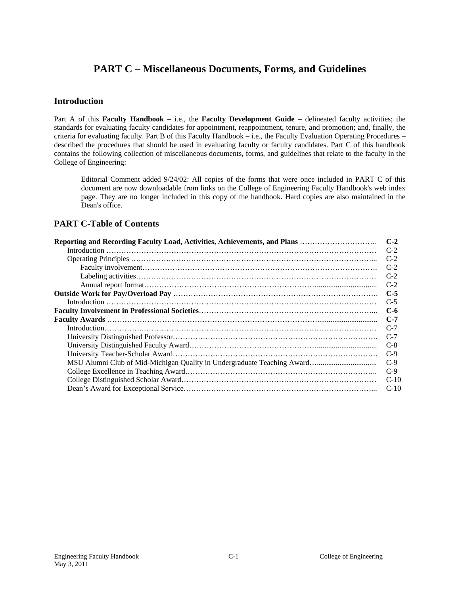# **PART C – Miscellaneous Documents, Forms, and Guidelines**

### **Introduction**

Part A of this **Faculty Handbook** – i.e., the **Faculty Development Guide** – delineated faculty activities; the standards for evaluating faculty candidates for appointment, reappointment, tenure, and promotion; and, finally, the criteria for evaluating faculty. Part B of this Faculty Handbook – i.e., the Faculty Evaluation Operating Procedures – described the procedures that should be used in evaluating faculty or faculty candidates. Part C of this handbook contains the following collection of miscellaneous documents, forms, and guidelines that relate to the faculty in the College of Engineering:

Editorial Comment added 9/24/02: All copies of the forms that were once included in PART C of this document are now downloadable from links on the College of Engineering Faculty Handbook's web index page. They are no longer included in this copy of the handbook. Hard copies are also maintained in the Dean's office.

# **PART C-Table of Contents**

| Reporting and Recording Faculty Load, Activities, Achievements, and Plans | $C-2$  |
|---------------------------------------------------------------------------|--------|
|                                                                           | $C-2$  |
|                                                                           | $C-2$  |
|                                                                           | $C-2$  |
|                                                                           | $C-2$  |
|                                                                           | $C-2$  |
|                                                                           | $C-5$  |
|                                                                           | $C-5$  |
|                                                                           | $C-6$  |
|                                                                           | $C-7$  |
|                                                                           | $C-7$  |
|                                                                           | $C-7$  |
|                                                                           | $C-8$  |
|                                                                           | $C-9$  |
|                                                                           | $C-9$  |
|                                                                           | $C-9$  |
|                                                                           | $C-10$ |
|                                                                           | $C-10$ |
|                                                                           |        |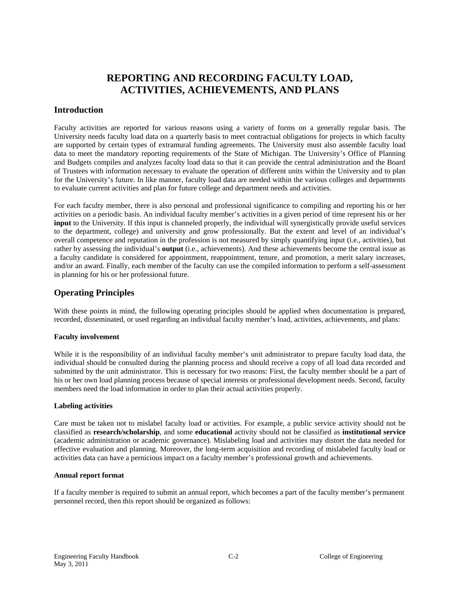# **REPORTING AND RECORDING FACULTY LOAD, ACTIVITIES, ACHIEVEMENTS, AND PLANS**

### **Introduction**

Faculty activities are reported for various reasons using a variety of forms on a generally regular basis. The University needs faculty load data on a quarterly basis to meet contractual obligations for projects in which faculty are supported by certain types of extramural funding agreements. The University must also assemble faculty load data to meet the mandatory reporting requirements of the State of Michigan. The University's Office of Planning and Budgets compiles and analyzes faculty load data so that it can provide the central administration and the Board of Trustees with information necessary to evaluate the operation of different units within the University and to plan for the University's future. In like manner, faculty load data are needed within the various colleges and departments to evaluate current activities and plan for future college and department needs and activities.

For each faculty member, there is also personal and professional significance to compiling and reporting his or her activities on a periodic basis. An individual faculty member's activities in a given period of time represent his or her **input** to the University. If this input is channeled properly, the individual will synergistically provide useful services to the department, college) and university and grow professionally. But the extent and level of an individual's overall competence and reputation in the profession is not measured by simply quantifying input (i.e., activities), but rather by assessing the individual's **output** (i.e., achievements). And these achievements become the central issue as a faculty candidate is considered for appointment, reappointment, tenure, and promotion, a merit salary increases, and/or an award. Finally, each member of the faculty can use the compiled information to perform a self-assessment in planning for his or her professional future.

### **Operating Principles**

With these points in mind, the following operating principles should be applied when documentation is prepared, recorded, disseminated, or used regarding an individual faculty member's load, activities, achievements, and plans:

#### **Faculty involvement**

While it is the responsibility of an individual faculty member's unit administrator to prepare faculty load data, the individual should be consulted during the planning process and should receive a copy of all load data recorded and submitted by the unit administrator. This is necessary for two reasons: First, the faculty member should be a part of his or her own load planning process because of special interests or professional development needs. Second, faculty members need the load information in order to plan their actual activities properly.

#### **Labeling activities**

Care must be taken not to mislabel faculty load or activities. For example, a public service activity should not be classified as **research/scholarship**, and some **educational** activity should not be classified as **institutional service** (academic administration or academic governance). Mislabeling load and activities may distort the data needed for effective evaluation and planning. Moreover, the long-term acquisition and recording of mislabeled faculty load or activities data can have a pernicious impact on a faculty member's professional growth and achievements.

#### **Annual report format**

If a faculty member is required to submit an annual report, which becomes a part of the faculty member's permanent personnel record, then this report should be organized as follows: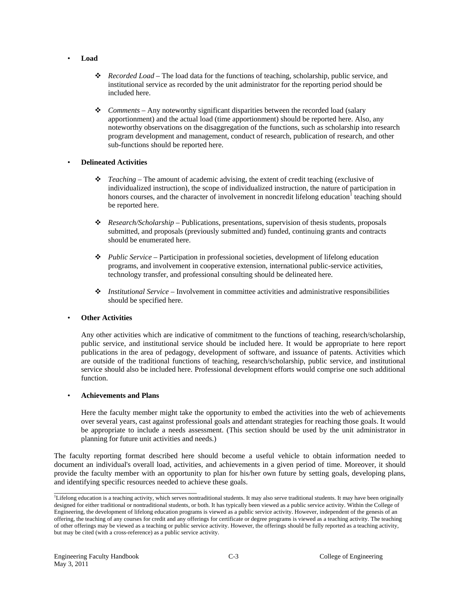- **Load**
	- *Recorded Load –* The load data for the functions of teaching, scholarship, public service, and institutional service as recorded by the unit administrator for the reporting period should be included here.
	- *Comments* Any noteworthy significant disparities between the recorded load (salary apportionment) and the actual load (time apportionment) should be reported here. Also, any noteworthy observations on the disaggregation of the functions, such as scholarship into research program development and management, conduct of research, publication of research, and other sub-functions should be reported here.

#### • **Delineated Activities**

- *Teaching*  The amount of academic advising, the extent of credit teaching (exclusive of individualized instruction), the scope of individualized instruction, the nature of participation in honors courses, and the character of involvement in noncredit lifelong education<sup>1</sup> teaching should be reported here.
- *Research/Scholarship*  Publications, presentations, supervision of thesis students, proposals submitted, and proposals (previously submitted and) funded, continuing grants and contracts should be enumerated here.
- *Public Service –* Participation in professional societies, development of lifelong education programs, and involvement in cooperative extension, international public-service activities, technology transfer, and professional consulting should be delineated here.
- *Institutional Service* Involvement in committee activities and administrative responsibilities should be specified here.

#### • **Other Activities**

Any other activities which are indicative of commitment to the functions of teaching, research/scholarship, public service, and institutional service should be included here. It would be appropriate to here report publications in the area of pedagogy, development of software, and issuance of patents. Activities which are outside of the traditional functions of teaching, research/scholarship, public service, and institutional service should also be included here. Professional development efforts would comprise one such additional function.

#### • **Achievements and Plans**

Here the faculty member might take the opportunity to embed the activities into the web of achievements over several years, cast against professional goals and attendant strategies for reaching those goals. It would be appropriate to include a needs assessment. (This section should be used by the unit administrator in planning for future unit activities and needs.)

The faculty reporting format described here should become a useful vehicle to obtain information needed to document an individual's overall load, activities, and achievements in a given period of time. Moreover, it should provide the faculty member with an opportunity to plan for his/her own future by setting goals, developing plans, and identifying specific resources needed to achieve these goals.

<sup>&</sup>lt;sup>1</sup><br>Lifelong education is a teaching activity, which serves nontraditional students. It may also serve traditional students. It may have been originally designed for either traditional or nontraditional students, or both. It has typically been viewed as a public service activity. Within the College of Engineering, the development of lifelong education programs is viewed as a public service activity. However, independent of the genesis of an offering, the teaching of any courses for credit and any offerings for certificate or degree programs is viewed as a teaching activity. The teaching of other offerings may be viewed as a teaching or public service activity. However, the offerings should be fully reported as a teaching activity, but may be cited (with a cross-reference) as a public service activity.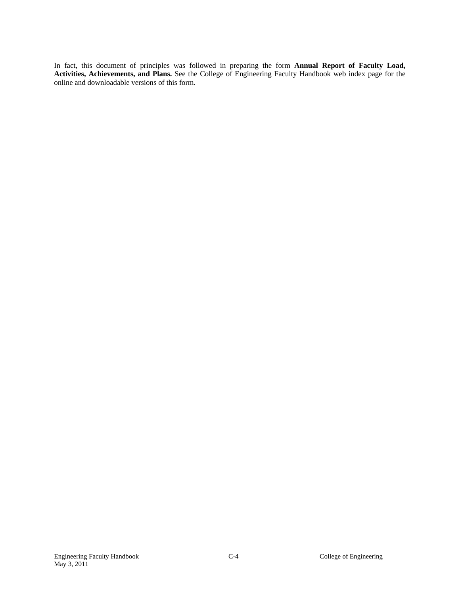In fact, this document of principles was followed in preparing the form **Annual Report of Faculty Load, Activities, Achievements, and Plans.** See the College of Engineering Faculty Handbook web index page for the online and downloadable versions of this form.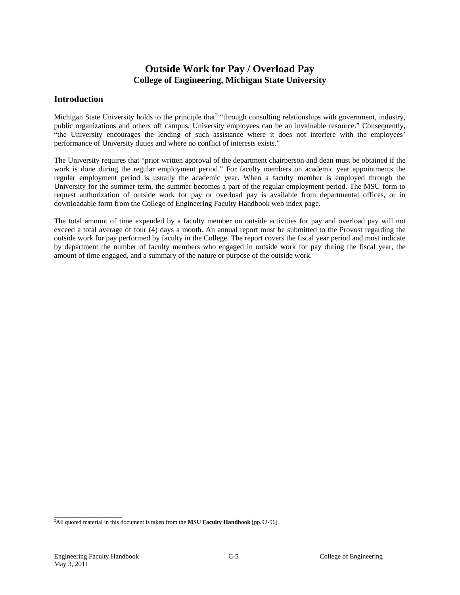# **Outside Work for Pay / Overload Pay College of Engineering, Michigan State University**

### **Introduction**

Michigan State University holds to the principle that<sup>2</sup> "through consulting relationships with government, industry, public organizations and others off campus, University employees can be an invaluable resource." Consequently, "the University encourages the lending of such assistance where it does not interfere with the employees' performance of University duties and where no conflict of interests exists."

The University requires that "prior written approval of the department chairperson and dean must be obtained if the work is done during the regular employment period." For faculty members on academic year appointments the regular employment period is usually the academic year. When a faculty member is employed through the University for the summer term, the summer becomes a part of the regular employment period. The MSU form to request authorization of outside work for pay or overload pay is available from departmental offices, or in downloadable form from the College of Engineering Faculty Handbook web index page.

The total amount of time expended by a faculty member on outside activities for pay and overload pay will not exceed a total average of four (4) days a month. An annual report must be submitted to the Provost regarding the outside work for pay performed by faculty in the College. The report covers the fiscal year period and must indicate by department the number of faculty members who engaged in outside work for pay during the fiscal year, the amount of time engaged, and a summary of the nature or purpose of the outside work.

<sup>&</sup>lt;sup>2</sup><br>All quoted material in this document is taken from the **MSU Faculty Handbook** [pp.92-96].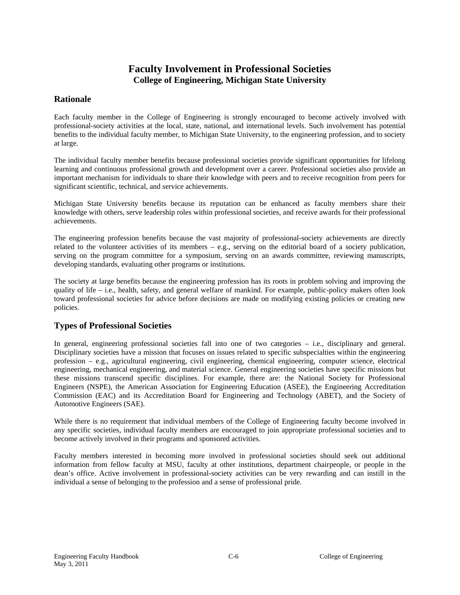# **Faculty Involvement in Professional Societies College of Engineering, Michigan State University**

### **Rationale**

Each faculty member in the College of Engineering is strongly encouraged to become actively involved with professional-society activities at the local, state, national, and international levels. Such involvement has potential benefits to the individual faculty member, to Michigan State University, to the engineering profession, and to society at large.

The individual faculty member benefits because professional societies provide significant opportunities for lifelong learning and continuous professional growth and development over a career. Professional societies also provide an important mechanism for individuals to share their knowledge with peers and to receive recognition from peers for significant scientific, technical, and service achievements.

Michigan State University benefits because its reputation can be enhanced as faculty members share their knowledge with others, serve leadership roles within professional societies, and receive awards for their professional achievements.

The engineering profession benefits because the vast majority of professional-society achievements are directly related to the volunteer activities of its members – e.g., serving on the editorial board of a society publication, serving on the program committee for a symposium, serving on an awards committee, reviewing manuscripts, developing standards, evaluating other programs or institutions.

The society at large benefits because the engineering profession has its roots in problem solving and improving the quality of life – i.e., health, safety, and general welfare of mankind. For example, public-policy makers often look toward professional societies for advice before decisions are made on modifying existing policies or creating new policies.

# **Types of Professional Societies**

In general, engineering professional societies fall into one of two categories – i.e., disciplinary and general. Disciplinary societies have a mission that focuses on issues related to specific subspecialties within the engineering profession – e.g., agricultural engineering, civil engineering, chemical engineering, computer science, electrical engineering, mechanical engineering, and material science. General engineering societies have specific missions but these missions transcend specific disciplines. For example, there are: the National Society for Professional Engineers (NSPE), the American Association for Engineering Education (ASEE), the Engineering Accreditation Commission (EAC) and its Accreditation Board for Engineering and Technology (ABET), and the Society of Automotive Engineers (SAE).

While there is no requirement that individual members of the College of Engineering faculty become involved in any specific societies, individual faculty members are encouraged to join appropriate professional societies and to become actively involved in their programs and sponsored activities.

Faculty members interested in becoming more involved in professional societies should seek out additional information from fellow faculty at MSU, faculty at other institutions, department chairpeople, or people in the dean's office. Active involvement in professional-society activities can be very rewarding and can instill in the individual a sense of belonging to the profession and a sense of professional pride.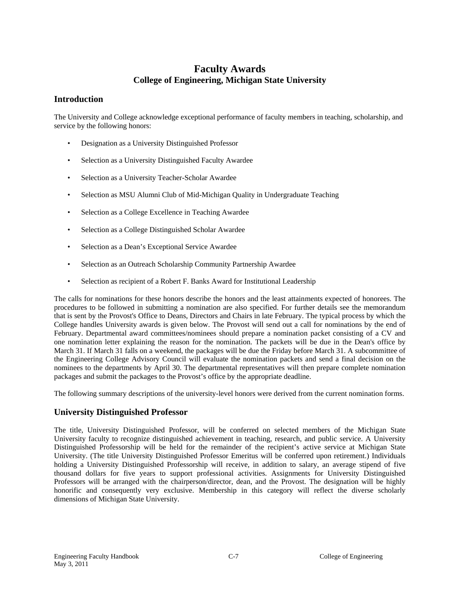# **Faculty Awards College of Engineering, Michigan State University**

### **Introduction**

The University and College acknowledge exceptional performance of faculty members in teaching, scholarship, and service by the following honors:

- Designation as a University Distinguished Professor
- Selection as a University Distinguished Faculty Awardee
- Selection as a University Teacher-Scholar Awardee
- Selection as MSU Alumni Club of Mid-Michigan Quality in Undergraduate Teaching
- Selection as a College Excellence in Teaching Awardee
- Selection as a College Distinguished Scholar Awardee
- Selection as a Dean's Exceptional Service Awardee
- Selection as an Outreach Scholarship Community Partnership Awardee
- Selection as recipient of a Robert F. Banks Award for Institutional Leadership

The calls for nominations for these honors describe the honors and the least attainments expected of honorees. The procedures to be followed in submitting a nomination are also specified. For further details see the memorandum that is sent by the Provost's Office to Deans, Directors and Chairs in late February. The typical process by which the College handles University awards is given below. The Provost will send out a call for nominations by the end of February. Departmental award committees/nominees should prepare a nomination packet consisting of a CV and one nomination letter explaining the reason for the nomination. The packets will be due in the Dean's office by March 31. If March 31 falls on a weekend, the packages will be due the Friday before March 31. A subcommittee of the Engineering College Advisory Council will evaluate the nomination packets and send a final decision on the nominees to the departments by April 30. The departmental representatives will then prepare complete nomination packages and submit the packages to the Provost's office by the appropriate deadline.

The following summary descriptions of the university-level honors were derived from the current nomination forms.

# **University Distinguished Professor**

The title, University Distinguished Professor, will be conferred on selected members of the Michigan State University faculty to recognize distinguished achievement in teaching, research, and public service. A University Distinguished Professorship will be held for the remainder of the recipient's active service at Michigan State University. (The title University Distinguished Professor Emeritus will be conferred upon retirement.) Individuals holding a University Distinguished Professorship will receive, in addition to salary, an average stipend of five thousand dollars for five years to support professional activities. Assignments for University Distinguished Professors will be arranged with the chairperson/director, dean, and the Provost. The designation will be highly honorific and consequently very exclusive. Membership in this category will reflect the diverse scholarly dimensions of Michigan State University.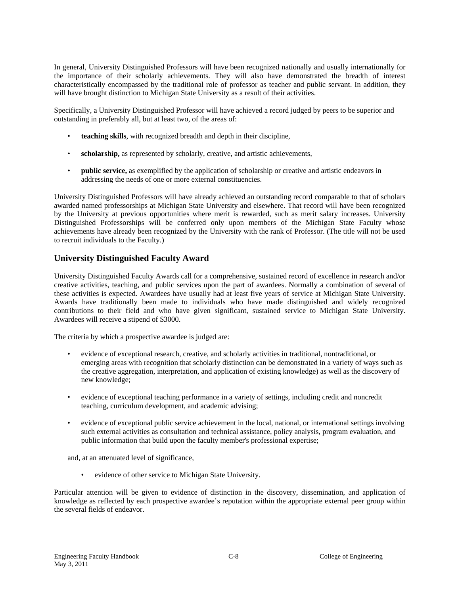In general, University Distinguished Professors will have been recognized nationally and usually internationally for the importance of their scholarly achievements. They will also have demonstrated the breadth of interest characteristically encompassed by the traditional role of professor as teacher and public servant. In addition, they will have brought distinction to Michigan State University as a result of their activities.

Specifically, a University Distinguished Professor will have achieved a record judged by peers to be superior and outstanding in preferably all, but at least two, of the areas of:

- **teaching skills**, with recognized breadth and depth in their discipline,
- scholarship, as represented by scholarly, creative, and artistic achievements,
- **public service,** as exemplified by the application of scholarship or creative and artistic endeavors in addressing the needs of one or more external constituencies.

University Distinguished Professors will have already achieved an outstanding record comparable to that of scholars awarded named professorships at Michigan State University and elsewhere. That record will have been recognized by the University at previous opportunities where merit is rewarded, such as merit salary increases. University Distinguished Professorships will be conferred only upon members of the Michigan State Faculty whose achievements have already been recognized by the University with the rank of Professor. (The title will not be used to recruit individuals to the Faculty.)

# **University Distinguished Faculty Award**

University Distinguished Faculty Awards call for a comprehensive, sustained record of excellence in research and/or creative activities, teaching, and public services upon the part of awardees. Normally a combination of several of these activities is expected. Awardees have usually had at least five years of service at Michigan State University. Awards have traditionally been made to individuals who have made distinguished and widely recognized contributions to their field and who have given significant, sustained service to Michigan State University. Awardees will receive a stipend of \$3000.

The criteria by which a prospective awardee is judged are:

- evidence of exceptional research, creative, and scholarly activities in traditional, nontraditional, or emerging areas with recognition that scholarly distinction can be demonstrated in a variety of ways such as the creative aggregation, interpretation, and application of existing knowledge) as well as the discovery of new knowledge;
- evidence of exceptional teaching performance in a variety of settings, including credit and noncredit teaching, curriculum development, and academic advising;
- evidence of exceptional public service achievement in the local, national, or international settings involving such external activities as consultation and technical assistance, policy analysis, program evaluation, and public information that build upon the faculty member's professional expertise;

and, at an attenuated level of significance,

• evidence of other service to Michigan State University.

Particular attention will be given to evidence of distinction in the discovery, dissemination, and application of knowledge as reflected by each prospective awardee's reputation within the appropriate external peer group within the several fields of endeavor.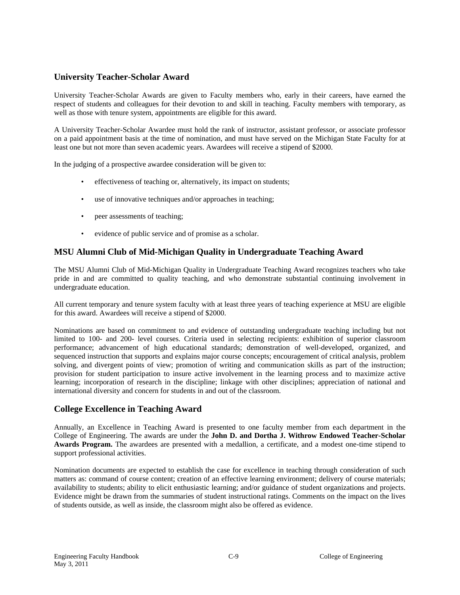# **University Teacher-Scholar Award**

University Teacher-Scholar Awards are given to Faculty members who, early in their careers, have earned the respect of students and colleagues for their devotion to and skill in teaching. Faculty members with temporary, as well as those with tenure system, appointments are eligible for this award.

A University Teacher-Scholar Awardee must hold the rank of instructor, assistant professor, or associate professor on a paid appointment basis at the time of nomination, and must have served on the Michigan State Faculty for at least one but not more than seven academic years. Awardees will receive a stipend of \$2000.

In the judging of a prospective awardee consideration will be given to:

- effectiveness of teaching or, alternatively, its impact on students;
- use of innovative techniques and/or approaches in teaching;
- peer assessments of teaching;
- evidence of public service and of promise as a scholar.

# **MSU Alumni Club of Mid-Michigan Quality in Undergraduate Teaching Award**

The MSU Alumni Club of Mid-Michigan Quality in Undergraduate Teaching Award recognizes teachers who take pride in and are committed to quality teaching, and who demonstrate substantial continuing involvement in undergraduate education.

All current temporary and tenure system faculty with at least three years of teaching experience at MSU are eligible for this award. Awardees will receive a stipend of \$2000.

Nominations are based on commitment to and evidence of outstanding undergraduate teaching including but not limited to 100- and 200- level courses. Criteria used in selecting recipients: exhibition of superior classroom performance; advancement of high educational standards; demonstration of well-developed, organized, and sequenced instruction that supports and explains major course concepts; encouragement of critical analysis, problem solving, and divergent points of view; promotion of writing and communication skills as part of the instruction; provision for student participation to insure active involvement in the learning process and to maximize active learning; incorporation of research in the discipline; linkage with other disciplines; appreciation of national and international diversity and concern for students in and out of the classroom.

# **College Excellence in Teaching Award**

Annually, an Excellence in Teaching Award is presented to one faculty member from each department in the College of Engineering. The awards are under the **John D. and Dortha J. Withrow Endowed Teacher-Scholar Awards Program.** The awardees are presented with a medallion, a certificate, and a modest one-time stipend to support professional activities.

Nomination documents are expected to establish the case for excellence in teaching through consideration of such matters as: command of course content; creation of an effective learning environment; delivery of course materials; availability to students; ability to elicit enthusiastic learning; and/or guidance of student organizations and projects. Evidence might be drawn from the summaries of student instructional ratings. Comments on the impact on the lives of students outside, as well as inside, the classroom might also be offered as evidence.